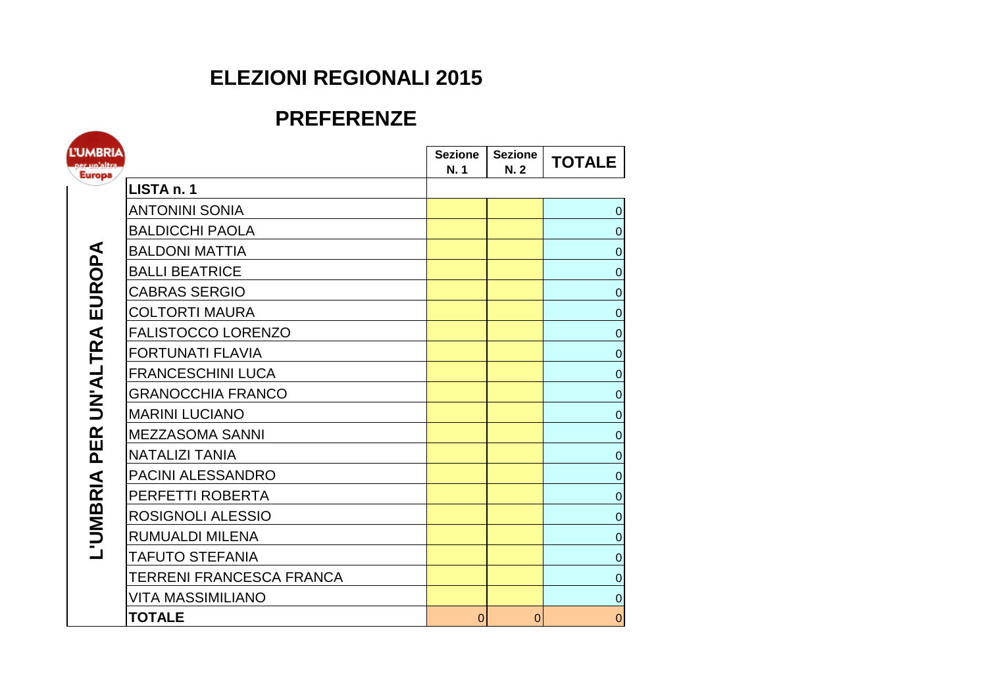## **ELEZIONI REGIONALI 2015**

## **PREFERENZE**

| <b>L'UMBRIA</b><br>per un'altra<br><b>Europa</b> |                          | <b>Sezione</b><br>N. 1 | <b>Sezione</b><br>N. 2 | <b>TOTALE</b>    |
|--------------------------------------------------|--------------------------|------------------------|------------------------|------------------|
|                                                  | LISTA n. 1               |                        |                        |                  |
|                                                  | <b>ANTONINI SONIA</b>    |                        |                        | $\overline{0}$   |
|                                                  | <b>BALDICCHI PAOLA</b>   |                        |                        | $\boldsymbol{0}$ |
|                                                  | <b>BALDONI MATTIA</b>    |                        |                        | $\overline{0}$   |
| EUROPA                                           | <b>BALLI BEATRICE</b>    |                        |                        | $\pmb{0}$        |
|                                                  | <b>CABRAS SERGIO</b>     |                        |                        | $\pmb{0}$        |
|                                                  | <b>COLTORTI MAURA</b>    |                        |                        | $\pmb{0}$        |
|                                                  | FALISTOCCO LORENZO       |                        |                        | $\mathbf 0$      |
|                                                  | <b>FORTUNATI FLAVIA</b>  |                        |                        | $\boldsymbol{0}$ |
| <b>UN'ALTRA</b>                                  | <b>FRANCESCHINI LUCA</b> |                        |                        | $\mathbf 0$      |
|                                                  | <b>GRANOCCHIA FRANCO</b> |                        |                        | $\bf 0$          |
|                                                  | <b>MARINI LUCIANO</b>    |                        |                        | $\mathbf 0$      |
| PER                                              | <b>MEZZASOMA SANNI</b>   |                        |                        | $\bf 0$          |
|                                                  | <b>NATALIZI TANIA</b>    |                        |                        | $\pmb{0}$        |
|                                                  | PACINI ALESSANDRO        |                        |                        | $\boldsymbol{0}$ |
| L'UMBRIA                                         | PERFETTI ROBERTA         |                        |                        | $\pmb{0}$        |
|                                                  | ROSIGNOLI ALESSIO        |                        |                        | $\overline{0}$   |
|                                                  | RUMUALDI MILENA          |                        |                        | $\bf 0$          |
|                                                  | <b>TAFUTO STEFANIA</b>   |                        |                        | $\mathbf 0$      |
|                                                  | TERRENI FRANCESCA FRANCA |                        |                        | $\bf 0$          |
|                                                  | VITA MASSIMILIANO        |                        |                        | $\mathbf 0$      |
|                                                  | <b>TOTALE</b>            | 0                      | $\Omega$               | $\overline{0}$   |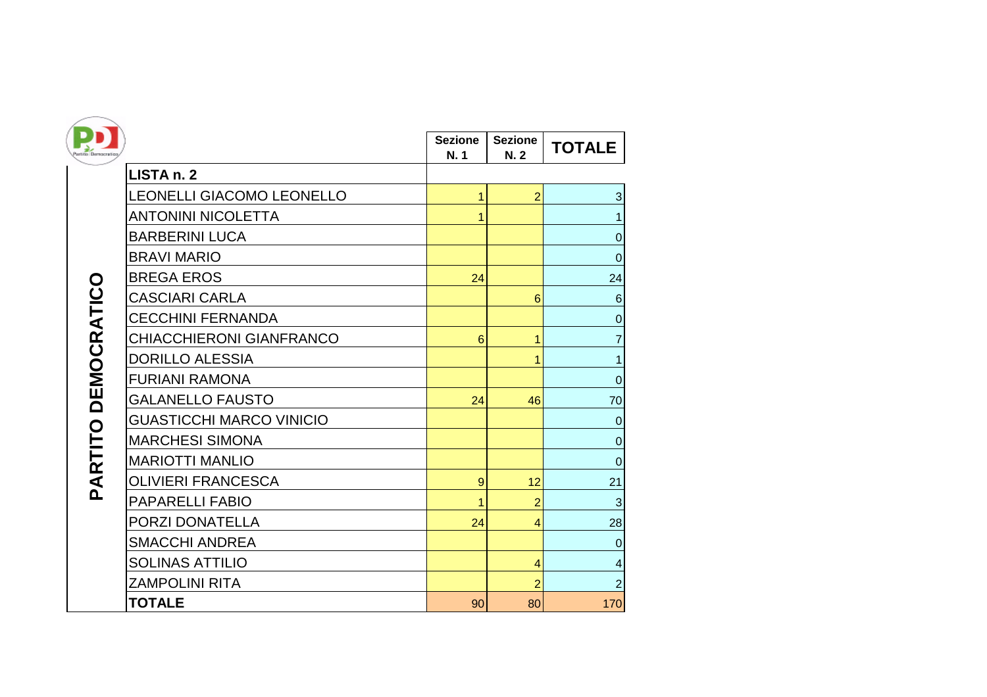| rtito Democratic |
|------------------|
|                  |

| D<br><b>Borrocratic</b> |                                 | <b>Sezione</b><br>N. 1 | <b>Sezione</b><br>N.2 | <b>TOTALE</b>           |
|-------------------------|---------------------------------|------------------------|-----------------------|-------------------------|
|                         | LISTA n. 2                      |                        |                       |                         |
|                         | LEONELLI GIACOMO LEONELLO       |                        | 2                     | $\mathbf{3}$            |
|                         | <b>ANTONINI NICOLETTA</b>       |                        |                       | $\mathbf{1}$            |
|                         | <b>BARBERINI LUCA</b>           |                        |                       | $\pmb{0}$               |
|                         | <b>BRAVI MARIO</b>              |                        |                       | $\pmb{0}$               |
|                         | <b>BREGA EROS</b>               | 24                     |                       | 24                      |
| DEMOCRATICO             | <b>CASCIARI CARLA</b>           |                        | $6\phantom{1}6$       | $\,6$                   |
|                         | <b>CECCHINI FERNANDA</b>        |                        |                       | $\boldsymbol{0}$        |
|                         | <b>CHIACCHIERONI GIANFRANCO</b> | $6\phantom{1}6$        | 1                     | $\overline{7}$          |
|                         | <b>DORILLO ALESSIA</b>          |                        | 1                     | $\mathbf{1}$            |
|                         | <b>FURIANI RAMONA</b>           |                        |                       | $\pmb{0}$               |
|                         | <b>GALANELLO FAUSTO</b>         | 24                     | 46                    | 70                      |
|                         | <b>GUASTICCHI MARCO VINICIO</b> |                        |                       | $\pmb{0}$               |
| PARTITO                 | <b>MARCHESI SIMONA</b>          |                        |                       | $\mathbf 0$             |
|                         | <b>MARIOTTI MANLIO</b>          |                        |                       | $\boldsymbol{0}$        |
|                         | <b>OLIVIERI FRANCESCA</b>       | 9                      | 12                    | 21                      |
|                         | <b>PAPARELLI FABIO</b>          |                        | $\overline{2}$        | $\mathbf{3}$            |
|                         | PORZI DONATELLA                 | 24                     | 4                     | 28                      |
|                         | <b>SMACCHI ANDREA</b>           |                        |                       | $\boldsymbol{0}$        |
|                         | <b>SOLINAS ATTILIO</b>          |                        | 4                     | $\overline{\mathbf{4}}$ |
|                         | <b>ZAMPOLINI RITA</b>           |                        | $\overline{2}$        | $\overline{c}$          |
|                         | <b>TOTALE</b>                   | 90                     | 80                    | 170                     |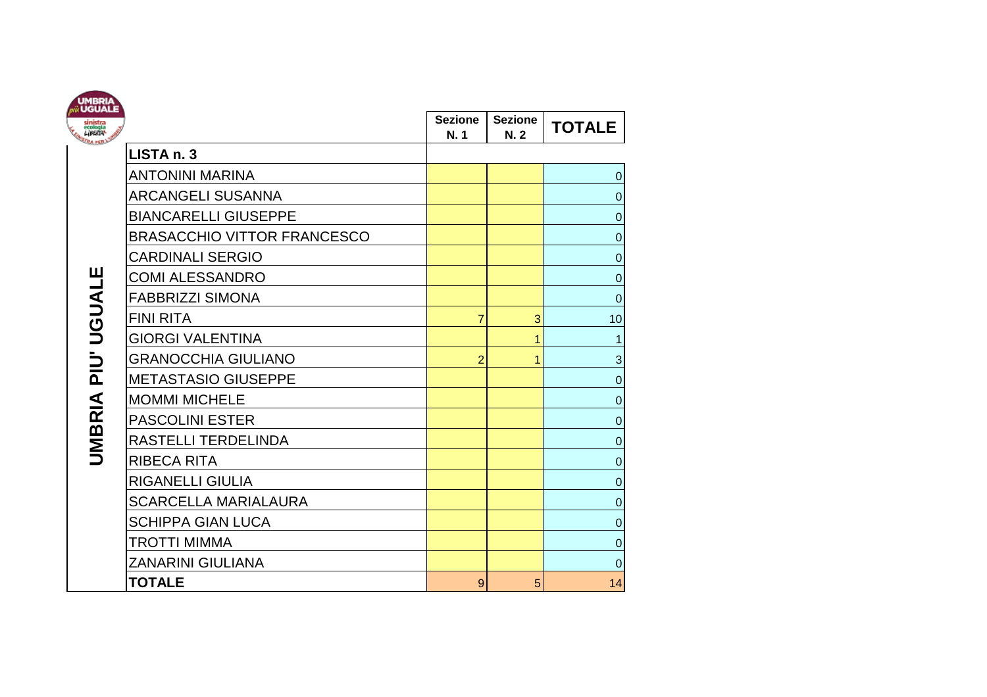| <b>IGHTA</b> |
|--------------|
| X.           |

| inistra<br>colosi<br>(PEATA) |                                    | <b>Sezione</b><br>N. 1 | <b>Sezione</b><br>N. 2 | <b>TOTALE</b>    |
|------------------------------|------------------------------------|------------------------|------------------------|------------------|
|                              | LISTA n. 3                         |                        |                        |                  |
|                              | <b>ANTONINI MARINA</b>             |                        |                        | $\pmb{0}$        |
|                              | <b>ARCANGELI SUSANNA</b>           |                        |                        | $\boldsymbol{0}$ |
|                              | <b>BIANCARELLI GIUSEPPE</b>        |                        |                        | $\boldsymbol{0}$ |
|                              | <b>BRASACCHIO VITTOR FRANCESCO</b> |                        |                        | $\mathbf 0$      |
|                              | <b>CARDINALI SERGIO</b>            |                        |                        | $\pmb{0}$        |
|                              | <b>COMI ALESSANDRO</b>             |                        |                        | $\pmb{0}$        |
| <b>UGUALE</b>                | <b>FABBRIZZI SIMONA</b>            |                        |                        | $\pmb{0}$        |
|                              | <b>FINI RITA</b>                   | $\overline{7}$         | 3                      | 10               |
|                              | <b>GIORGI VALENTINA</b>            |                        | 1                      | 1                |
| ここ                           | <b>GRANOCCHIA GIULIANO</b>         | $\overline{2}$         |                        | $\mathbf{3}$     |
|                              | <b>METASTASIO GIUSEPPE</b>         |                        |                        | $\pmb{0}$        |
|                              | <b>MOMMI MICHELE</b>               |                        |                        | $\pmb{0}$        |
| <b>UMBRIA</b>                | <b>PASCOLINI ESTER</b>             |                        |                        | $\pmb{0}$        |
|                              | RASTELLI TERDELINDA                |                        |                        | $\boldsymbol{0}$ |
|                              | <b>RIBECA RITA</b>                 |                        |                        | $\mathbf 0$      |
|                              | <b>RIGANELLI GIULIA</b>            |                        |                        | $\pmb{0}$        |
|                              | <b>SCARCELLA MARIALAURA</b>        |                        |                        | $\pmb{0}$        |
|                              | <b>SCHIPPA GIAN LUCA</b>           |                        |                        | $\pmb{0}$        |
|                              | <b>TROTTI MIMMA</b>                |                        |                        | $\pmb{0}$        |
|                              | <b>ZANARINI GIULIANA</b>           |                        |                        | $\boldsymbol{0}$ |
|                              | <b>TOTALE</b>                      | 9                      | 5                      | 14               |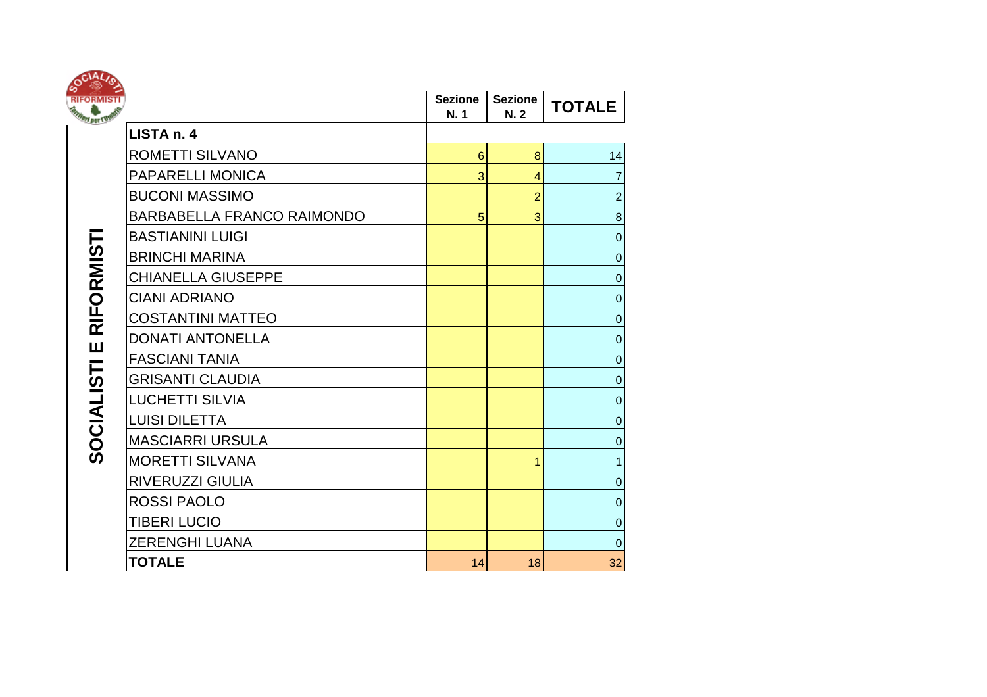| OCIALI                                          |                            |                        |                       |                |
|-------------------------------------------------|----------------------------|------------------------|-----------------------|----------------|
| <b>RIFORMISTI</b><br><b><i>Mort per L'A</i></b> |                            | <b>Sezione</b><br>N. 1 | <b>Sezione</b><br>N.2 | <b>TOTALE</b>  |
|                                                 | LISTA n. 4                 |                        |                       |                |
|                                                 | ROMETTI SILVANO            | $6\phantom{1}6$        | 8                     | 14             |
|                                                 | PAPARELLI MONICA           | 3                      | $\overline{4}$        | $\overline{7}$ |
|                                                 | <b>BUCONI MASSIMO</b>      |                        | $\overline{2}$        | $\overline{2}$ |
|                                                 | BARBABELLA FRANCO RAIMONDO | 5                      | 3                     | $\bf 8$        |
|                                                 | <b>BASTIANINI LUIGI</b>    |                        |                       | $\mathbf 0$    |
| RIFORMIST                                       | <b>BRINCHI MARINA</b>      |                        |                       | $\mathbf 0$    |
|                                                 | <b>CHIANELLA GIUSEPPE</b>  |                        |                       | $\mathbf 0$    |
|                                                 | <b>CIANI ADRIANO</b>       |                        |                       | $\mathbf 0$    |
|                                                 | <b>COSTANTINI MATTEO</b>   |                        |                       | $\mathbf 0$    |
| Ш                                               | <b>DONATI ANTONELLA</b>    |                        |                       | $\mathbf 0$    |
|                                                 | <b>FASCIANI TANIA</b>      |                        |                       | $\mathbf 0$    |
|                                                 | <b>GRISANTI CLAUDIA</b>    |                        |                       | $\mathbf 0$    |
|                                                 | <b>LUCHETTI SILVIA</b>     |                        |                       | $\mathbf 0$    |
|                                                 | <b>LUISI DILETTA</b>       |                        |                       | $\mathbf 0$    |
| SOCIALISTI                                      | <b>MASCIARRI URSULA</b>    |                        |                       | $\mathbf 0$    |
|                                                 | <b>MORETTI SILVANA</b>     |                        |                       | 1              |
|                                                 | RIVERUZZI GIULIA           |                        |                       | $\mathbf 0$    |
|                                                 | <b>ROSSI PAOLO</b>         |                        |                       | $\mathbf 0$    |
|                                                 | <b>TIBERI LUCIO</b>        |                        |                       | $\mathbf 0$    |
|                                                 | <b>ZERENGHI LUANA</b>      |                        |                       | $\mathbf 0$    |
|                                                 | <b>TOTALE</b>              | 14                     | 18                    | 32             |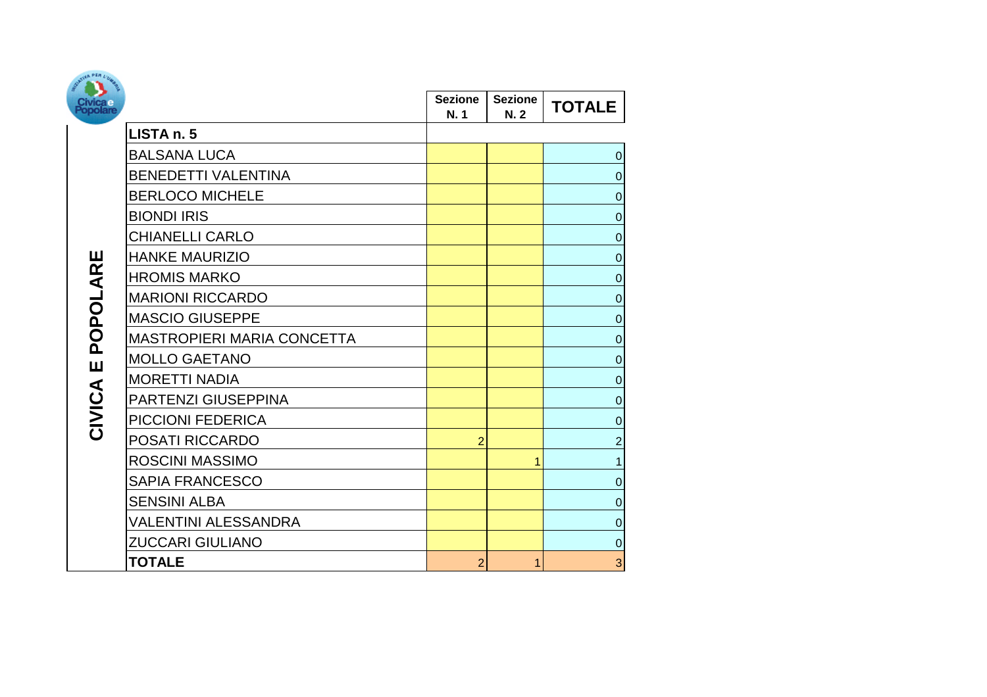| <b>OTHA PER 47</b> |                                   |                        |                       |                  |
|--------------------|-----------------------------------|------------------------|-----------------------|------------------|
|                    |                                   | <b>Sezione</b><br>N. 1 | <b>Sezione</b><br>N.2 | <b>TOTALE</b>    |
|                    | LISTA n. 5                        |                        |                       |                  |
|                    | <b>BALSANA LUCA</b>               |                        |                       | $\boldsymbol{0}$ |
|                    | <b>BENEDETTI VALENTINA</b>        |                        |                       | $\mathbf 0$      |
|                    | <b>BERLOCO MICHELE</b>            |                        |                       | $\mathbf 0$      |
|                    | <b>BIONDI IRIS</b>                |                        |                       | $\mathbf 0$      |
|                    | <b>CHIANELLI CARLO</b>            |                        |                       | $\mathbf 0$      |
|                    | <b>HANKE MAURIZIO</b>             |                        |                       | $\mathbf 0$      |
| <b>POPOLARE</b>    | <b>HROMIS MARKO</b>               |                        |                       | $\mathbf 0$      |
|                    | <b>MARIONI RICCARDO</b>           |                        |                       | $\mathbf 0$      |
|                    | <b>MASCIO GIUSEPPE</b>            |                        |                       | $\mathbf 0$      |
|                    | <b>MASTROPIERI MARIA CONCETTA</b> |                        |                       | $\mathbf 0$      |
| Ш                  | <b>MOLLO GAETANO</b>              |                        |                       | 0                |
|                    | <b>MORETTI NADIA</b>              |                        |                       | $\mathbf 0$      |
|                    | <b>PARTENZI GIUSEPPINA</b>        |                        |                       | $\mathbf 0$      |
| CIVICA             | PICCIONI FEDERICA                 |                        |                       | $\mathbf 0$      |
|                    | POSATI RICCARDO                   | 2                      |                       | $\overline{2}$   |
|                    | ROSCINI MASSIMO                   |                        |                       | 1                |
|                    | <b>SAPIA FRANCESCO</b>            |                        |                       | 0                |
|                    | <b>SENSINI ALBA</b>               |                        |                       | $\mathbf 0$      |
|                    | <b>VALENTINI ALESSANDRA</b>       |                        |                       | $\mathbf 0$      |
|                    | <b>ZUCCARI GIULIANO</b>           |                        |                       | $\boldsymbol{0}$ |
|                    | <b>TOTALE</b>                     | $\overline{2}$         |                       | 3                |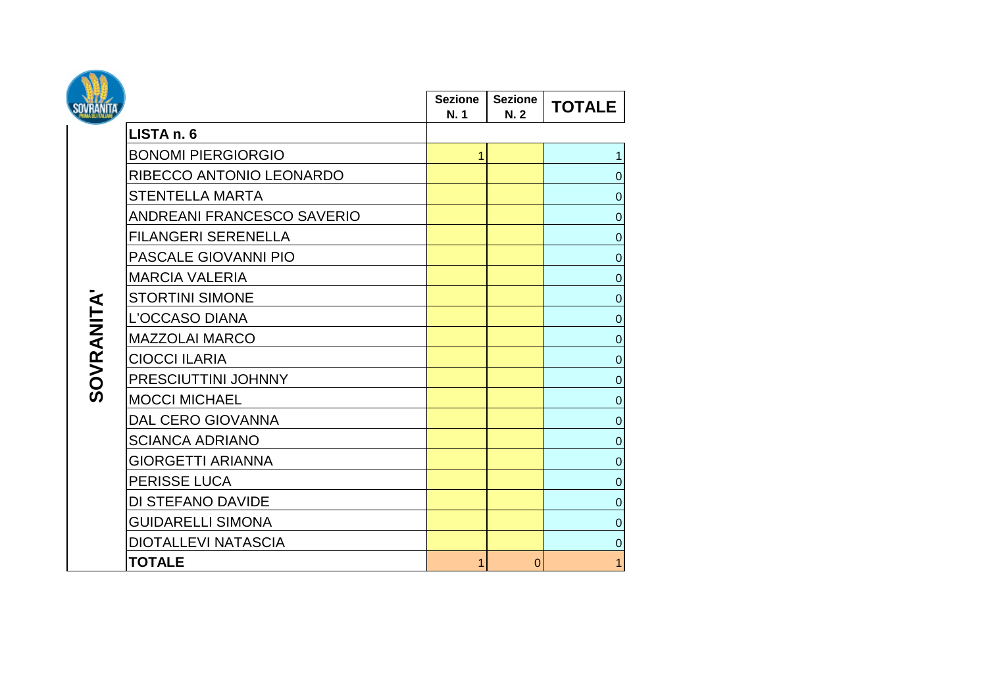|           |                                   | <b>Sezione</b><br>N.1 | <b>Sezione</b><br>N.2 | <b>TOTALE</b>    |
|-----------|-----------------------------------|-----------------------|-----------------------|------------------|
|           | LISTA <sub>n.6</sub>              |                       |                       |                  |
|           | <b>BONOMI PIERGIORGIO</b>         |                       |                       | $\mathbf{1}$     |
|           | RIBECCO ANTONIO LEONARDO          |                       |                       | $\pmb{0}$        |
|           | <b>STENTELLA MARTA</b>            |                       |                       | $\pmb{0}$        |
|           | <b>ANDREANI FRANCESCO SAVERIO</b> |                       |                       | $\pmb{0}$        |
|           | <b>FILANGERI SERENELLA</b>        |                       |                       | $\boldsymbol{0}$ |
|           | PASCALE GIOVANNI PIO              |                       |                       | $\boldsymbol{0}$ |
|           | <b>MARCIA VALERIA</b>             |                       |                       | $\mathbf 0$      |
|           | <b>STORTINI SIMONE</b>            |                       |                       | $\boldsymbol{0}$ |
|           | L'OCCASO DIANA                    |                       |                       | $\boldsymbol{0}$ |
| SOVRANITA | <b>MAZZOLAI MARCO</b>             |                       |                       | $\boldsymbol{0}$ |
|           | <b>CIOCCI ILARIA</b>              |                       |                       | $\boldsymbol{0}$ |
|           | PRESCIUTTINI JOHNNY               |                       |                       | $\boldsymbol{0}$ |
|           | <b>MOCCI MICHAEL</b>              |                       |                       | $\pmb{0}$        |
|           | DAL CERO GIOVANNA                 |                       |                       | $\pmb{0}$        |
|           | <b>SCIANCA ADRIANO</b>            |                       |                       | $\boldsymbol{0}$ |
|           | <b>GIORGETTI ARIANNA</b>          |                       |                       | $\boldsymbol{0}$ |
|           | PERISSE LUCA                      |                       |                       | $\pmb{0}$        |
|           | DI STEFANO DAVIDE                 |                       |                       | $\pmb{0}$        |
|           | <b>GUIDARELLI SIMONA</b>          |                       |                       | $\boldsymbol{0}$ |
|           | <b>DIOTALLEVI NATASCIA</b>        |                       |                       | $\boldsymbol{0}$ |
|           | <b>TOTALE</b>                     |                       | $\Omega$              | 1                |

**DOM:**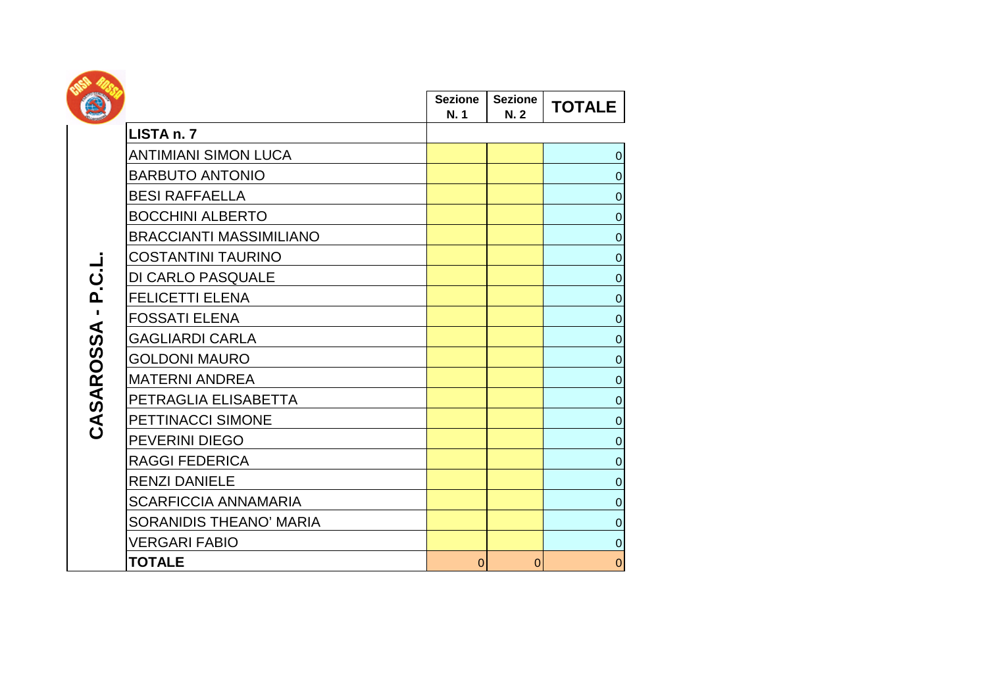|                |                                | <b>Sezione</b><br>N. 1 | <b>Sezione</b><br>N.2 | <b>TOTALE</b>    |
|----------------|--------------------------------|------------------------|-----------------------|------------------|
|                | LISTA n.7                      |                        |                       |                  |
|                | <b>ANTIMIANI SIMON LUCA</b>    |                        |                       | $\boldsymbol{0}$ |
|                | <b>BARBUTO ANTONIO</b>         |                        |                       | $\mathbf 0$      |
|                | <b>BESI RAFFAELLA</b>          |                        |                       | $\overline{0}$   |
|                | <b>BOCCHINI ALBERTO</b>        |                        |                       | $\mathbf 0$      |
|                | <b>BRACCIANTI MASSIMILIANO</b> |                        |                       | $\mathbf 0$      |
|                | <b>COSTANTINI TAURINO</b>      |                        |                       | $\mathbf 0$      |
| ات<br>ان       | DI CARLO PASQUALE              |                        |                       | $\mathbf 0$      |
|                | <b>FELICETTI ELENA</b>         |                        |                       | $\mathbf 0$      |
| $\blacksquare$ | <b>FOSSATI ELENA</b>           |                        |                       | $\mathbf 0$      |
|                | <b>GAGLIARDI CARLA</b>         |                        |                       | $\overline{0}$   |
| CASAROSSA      | <b>GOLDONI MAURO</b>           |                        |                       | $\mathbf 0$      |
|                | <b>MATERNI ANDREA</b>          |                        |                       | $\mathbf 0$      |
|                | PETRAGLIA ELISABETTA           |                        |                       | $\mathbf 0$      |
|                | PETTINACCI SIMONE              |                        |                       | $\boldsymbol{0}$ |
|                | PEVERINI DIEGO                 |                        |                       | $\mathbf 0$      |
|                | <b>RAGGI FEDERICA</b>          |                        |                       | $\mathbf 0$      |
|                | <b>RENZI DANIELE</b>           |                        |                       | $\mathbf 0$      |
|                | <b>SCARFICCIA ANNAMARIA</b>    |                        |                       | $\mathbf 0$      |
|                | <b>SORANIDIS THEANO' MARIA</b> |                        |                       | $\mathbf 0$      |
|                | <b>VERGARI FABIO</b>           |                        |                       | $\boldsymbol{0}$ |
|                | <b>TOTALE</b>                  | $\Omega$               | $\Omega$              | $\mathbf 0$      |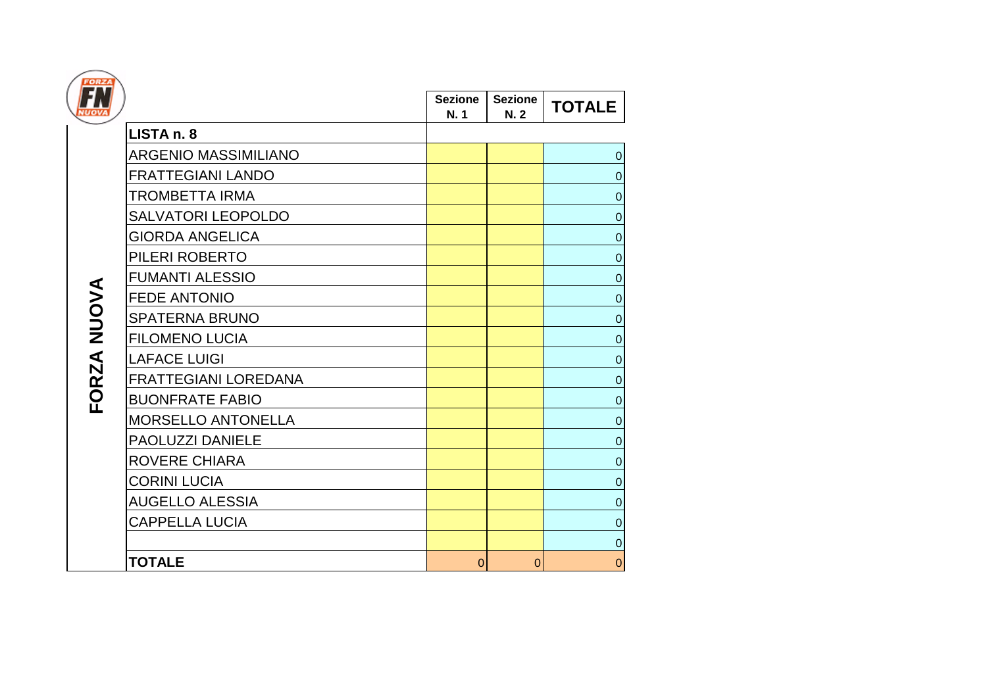| <b>FORZA</b> |                             |                        |                        |                  |
|--------------|-----------------------------|------------------------|------------------------|------------------|
|              |                             | <b>Sezione</b><br>N. 1 | <b>Sezione</b><br>N. 2 | <b>TOTALE</b>    |
|              | LISTA <sub>n.</sub> 8       |                        |                        |                  |
|              | ARGENIO MASSIMILIANO        |                        |                        | $\boldsymbol{0}$ |
|              | <b>FRATTEGIANI LANDO</b>    |                        |                        | $\mathbf 0$      |
|              | <b>TROMBETTA IRMA</b>       |                        |                        | $\mathbf 0$      |
|              | SALVATORI LEOPOLDO          |                        |                        | $\mathbf 0$      |
|              | <b>GIORDA ANGELICA</b>      |                        |                        | $\mathbf 0$      |
|              | PILERI ROBERTO              |                        |                        | $\mathbf 0$      |
|              | <b>FUMANTI ALESSIO</b>      |                        |                        | $\mathbf 0$      |
|              | <b>FEDE ANTONIO</b>         |                        |                        | $\mathbf 0$      |
|              | <b>SPATERNA BRUNO</b>       |                        |                        | $\mathbf 0$      |
|              | <b>FILOMENO LUCIA</b>       |                        |                        | $\overline{0}$   |
| FORZA NUOVA  | <b>LAFACE LUIGI</b>         |                        |                        | $\overline{0}$   |
|              | <b>FRATTEGIANI LOREDANA</b> |                        |                        | $\mathbf 0$      |
|              | <b>BUONFRATE FABIO</b>      |                        |                        | $\mathbf 0$      |
|              | MORSELLO ANTONELLA          |                        |                        | $\mathbf 0$      |
|              | PAOLUZZI DANIELE            |                        |                        | $\mathbf 0$      |
|              | <b>ROVERE CHIARA</b>        |                        |                        | $\mathbf 0$      |
|              | <b>CORINI LUCIA</b>         |                        |                        | $\mathbf 0$      |
|              | <b>AUGELLO ALESSIA</b>      |                        |                        | $\mathbf 0$      |
|              | <b>CAPPELLA LUCIA</b>       |                        |                        | $\mathbf 0$      |
|              |                             |                        |                        | $\mathbf 0$      |
|              | <b>TOTALE</b>               | $\Omega$               | $\Omega$               | $\mathbf{0}$     |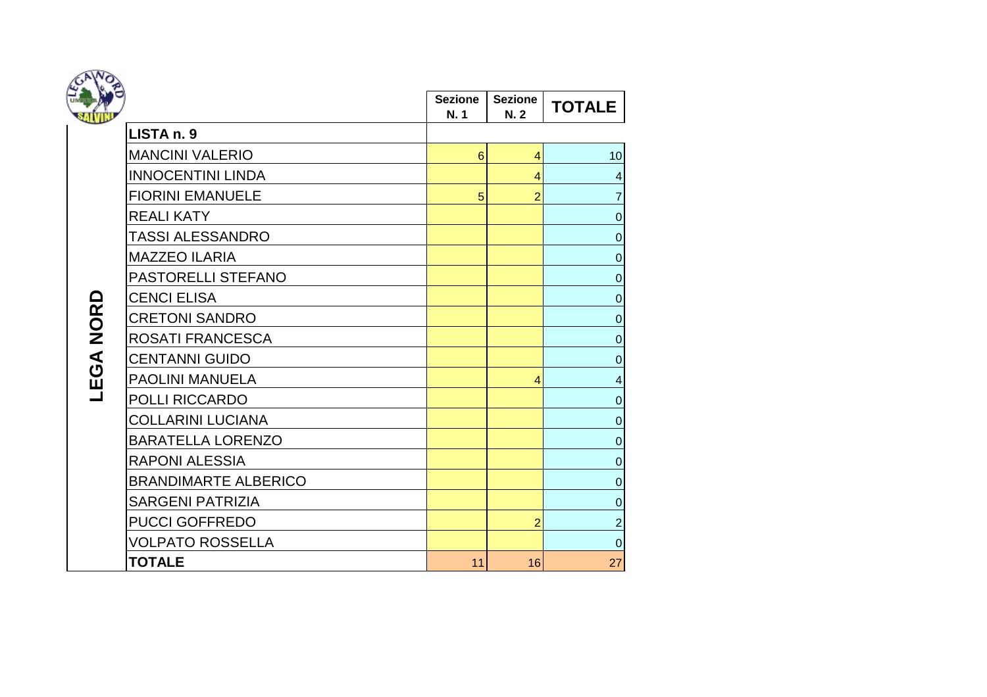|                 |                             | <b>Sezione</b><br>N. 1 | <b>Sezione</b><br>N.2 | <b>TOTALE</b>           |
|-----------------|-----------------------------|------------------------|-----------------------|-------------------------|
|                 | LISTA n. 9                  |                        |                       |                         |
|                 | <b>MANCINI VALERIO</b>      | $6 \overline{6}$       | 4                     | 10                      |
|                 | <b>INNOCENTINI LINDA</b>    |                        | 4                     | $\overline{\mathbf{4}}$ |
|                 | <b>FIORINI EMANUELE</b>     | 5                      | 2                     | $\overline{7}$          |
|                 | <b>REALI KATY</b>           |                        |                       | $\mathbf 0$             |
|                 | <b>TASSI ALESSANDRO</b>     |                        |                       | $\pmb{0}$               |
|                 | <b>MAZZEO ILARIA</b>        |                        |                       | $\mathbf 0$             |
|                 | PASTORELLI STEFANO          |                        |                       | $\pmb{0}$               |
|                 | <b>CENCI ELISA</b>          |                        |                       | $\boldsymbol{0}$        |
| <b>EGA NORD</b> | <b>CRETONI SANDRO</b>       |                        |                       | $\boldsymbol{0}$        |
|                 | ROSATI FRANCESCA            |                        |                       | $\pmb{0}$               |
|                 | <b>CENTANNI GUIDO</b>       |                        |                       | $\boldsymbol{0}$        |
|                 | <b>PAOLINI MANUELA</b>      |                        | 4                     | $\overline{\mathbf{4}}$ |
|                 | POLLI RICCARDO              |                        |                       | $\mathbf 0$             |
|                 | <b>COLLARINI LUCIANA</b>    |                        |                       | $\mathbf 0$             |
|                 | <b>BARATELLA LORENZO</b>    |                        |                       | $\pmb{0}$               |
|                 | <b>RAPONI ALESSIA</b>       |                        |                       | $\boldsymbol{0}$        |
|                 | <b>BRANDIMARTE ALBERICO</b> |                        |                       | $\pmb{0}$               |
|                 | <b>SARGENI PATRIZIA</b>     |                        |                       | $\boldsymbol{0}$        |
|                 | PUCCI GOFFREDO              |                        | 2                     | $\overline{2}$          |
|                 | <b>VOLPATO ROSSELLA</b>     |                        |                       | $\mathbf 0$             |
|                 | <b>TOTALE</b>               | 11                     | 16                    | 27                      |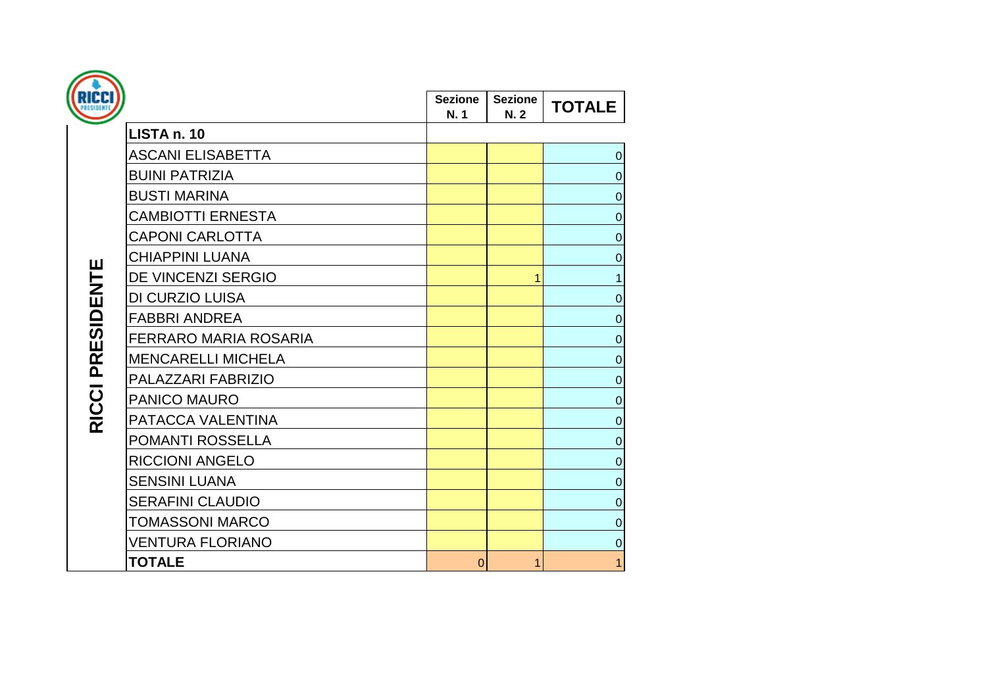| RICCI              |                              |                       |                       |                  |
|--------------------|------------------------------|-----------------------|-----------------------|------------------|
|                    |                              | <b>Sezione</b><br>N.1 | <b>Sezione</b><br>N.2 | <b>TOTALE</b>    |
|                    | LISTA n. 10                  |                       |                       |                  |
|                    | <b>ASCANI ELISABETTA</b>     |                       |                       | $\pmb{0}$        |
|                    | <b>BUINI PATRIZIA</b>        |                       |                       | $\mathbf 0$      |
|                    | <b>BUSTI MARINA</b>          |                       |                       | $\mathbf 0$      |
|                    | <b>CAMBIOTTI ERNESTA</b>     |                       |                       | $\boldsymbol{0}$ |
|                    | <b>CAPONI CARLOTTA</b>       |                       |                       | $\mathbf 0$      |
|                    | <b>CHIAPPINI LUANA</b>       |                       |                       | $\mathbf 0$      |
| <b>PRESIDENTE</b>  | DE VINCENZI SERGIO           |                       | 1                     | 1                |
|                    | DI CURZIO LUISA              |                       |                       | $\mathbf 0$      |
|                    | <b>FABBRI ANDREA</b>         |                       |                       | $\mathbf 0$      |
|                    | <b>FERRARO MARIA ROSARIA</b> |                       |                       | $\mathbf 0$      |
|                    | <b>MENCARELLI MICHELA</b>    |                       |                       | $\mathbf 0$      |
|                    | <b>PALAZZARI FABRIZIO</b>    |                       |                       | $\mathbf 0$      |
| RICCI <sup>I</sup> | PANICO MAURO                 |                       |                       | $\mathbf 0$      |
|                    | PATACCA VALENTINA            |                       |                       | $\mathbf 0$      |
|                    | POMANTI ROSSELLA             |                       |                       | $\mathbf 0$      |
|                    | <b>RICCIONI ANGELO</b>       |                       |                       | $\mathbf 0$      |
|                    | <b>SENSINI LUANA</b>         |                       |                       | $\mathbf 0$      |
|                    | <b>SERAFINI CLAUDIO</b>      |                       |                       | $\boldsymbol{0}$ |
|                    | <b>TOMASSONI MARCO</b>       |                       |                       | $\boldsymbol{0}$ |
|                    | <b>VENTURA FLORIANO</b>      |                       |                       | $\boldsymbol{0}$ |
|                    | <b>TOTALE</b>                | $\Omega$              | 1                     | $\overline{1}$   |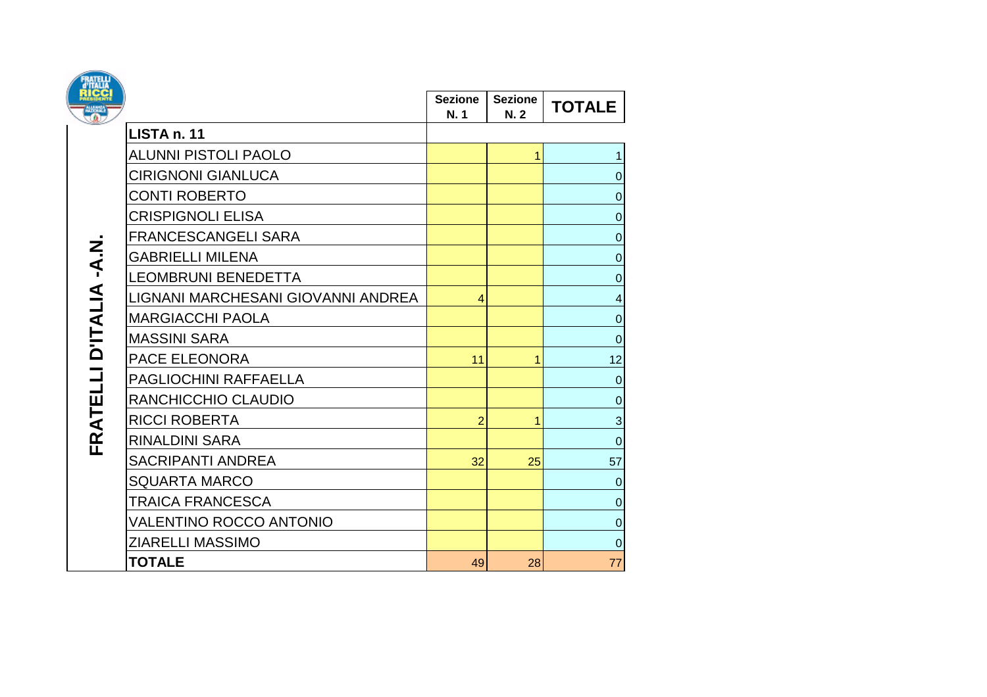|                 |                                    | <b>Sezione</b><br>N. 1 | <b>Sezione</b><br>N.2 | <b>TOTALE</b>    |
|-----------------|------------------------------------|------------------------|-----------------------|------------------|
|                 | LISTA n. 11                        |                        |                       |                  |
|                 | <b>ALUNNI PISTOLI PAOLO</b>        |                        | 1                     |                  |
|                 | <b>CIRIGNONI GIANLUCA</b>          |                        |                       | $\mathbf 0$      |
|                 | <b>CONTI ROBERTO</b>               |                        |                       | $\pmb{0}$        |
|                 | <b>CRISPIGNOLI ELISA</b>           |                        |                       | $\pmb{0}$        |
|                 | <b>FRANCESCANGELI SARA</b>         |                        |                       | $\pmb{0}$        |
| D'ITALIA-A.N.   | <b>GABRIELLI MILENA</b>            |                        |                       | $\boldsymbol{0}$ |
|                 | <b>LEOMBRUNI BENEDETTA</b>         |                        |                       | $\boldsymbol{0}$ |
|                 | LIGNANI MARCHESANI GIOVANNI ANDREA | 4                      |                       | 4                |
|                 | <b>MARGIACCHI PAOLA</b>            |                        |                       | $\pmb{0}$        |
|                 | <b>MASSINI SARA</b>                |                        |                       | $\mathbf 0$      |
|                 | PACE ELEONORA                      | 11                     | 1                     | 12               |
|                 | PAGLIOCHINI RAFFAELLA              |                        |                       | $\pmb{0}$        |
|                 | RANCHICCHIO CLAUDIO                |                        |                       | $\pmb{0}$        |
|                 | <b>RICCI ROBERTA</b>               | $\overline{2}$         | 1                     | $\mathbf 3$      |
| <b>FRATELLI</b> | <b>RINALDINI SARA</b>              |                        |                       | $\mathbf 0$      |
|                 | <b>SACRIPANTI ANDREA</b>           | 32                     | 25                    | 57               |
|                 | <b>SQUARTA MARCO</b>               |                        |                       | $\mathbf 0$      |
|                 | <b>TRAICA FRANCESCA</b>            |                        |                       | $\pmb{0}$        |
|                 | VALENTINO ROCCO ANTONIO            |                        |                       | $\boldsymbol{0}$ |
|                 | <b>ZIARELLI MASSIMO</b>            |                        |                       | $\boldsymbol{0}$ |
|                 | <b>TOTALE</b>                      | 49                     | 28                    | 77               |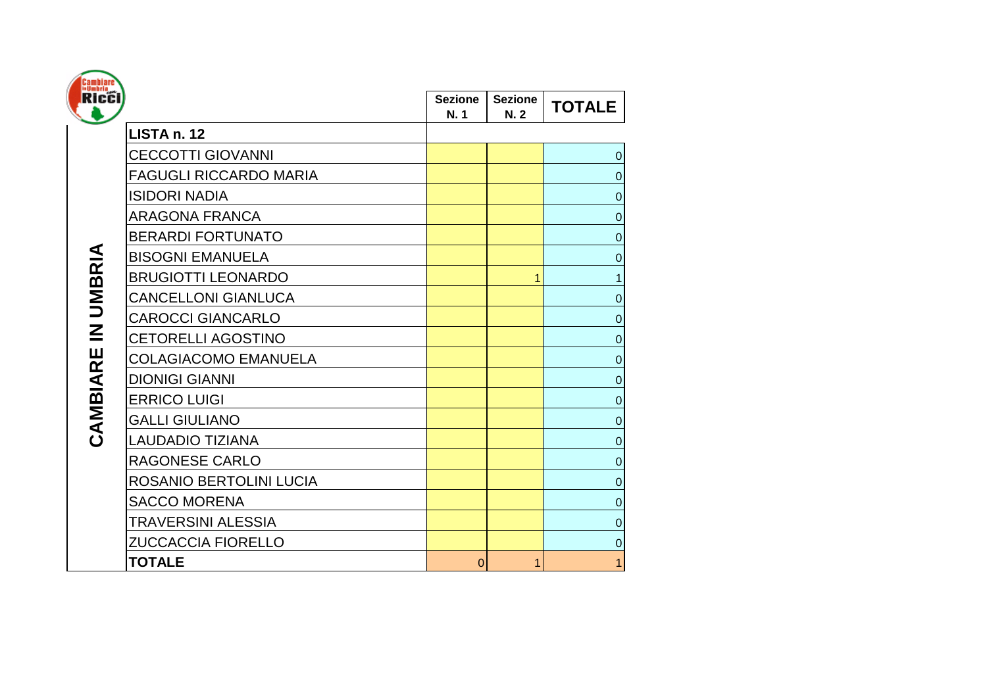| <b>Cambiare</b><br>Ricci |                               |                        |                       |                  |
|--------------------------|-------------------------------|------------------------|-----------------------|------------------|
|                          |                               | <b>Sezione</b><br>N. 1 | <b>Sezione</b><br>N.2 | <b>TOTALE</b>    |
|                          | LISTA n. 12                   |                        |                       |                  |
|                          | <b>CECCOTTI GIOVANNI</b>      |                        |                       | $\boldsymbol{0}$ |
|                          | <b>FAGUGLI RICCARDO MARIA</b> |                        |                       | $\Omega$         |
|                          | <b>ISIDORI NADIA</b>          |                        |                       | $\mathbf 0$      |
|                          | <b>ARAGONA FRANCA</b>         |                        |                       | $\mathbf 0$      |
|                          | <b>BERARDI FORTUNATO</b>      |                        |                       | $\mathbf 0$      |
| UMBRIA                   | <b>BISOGNI EMANUELA</b>       |                        |                       | $\mathbf 0$      |
|                          | <b>BRUGIOTTI LEONARDO</b>     |                        | 1                     | 1                |
|                          | <b>CANCELLONI GIANLUCA</b>    |                        |                       | $\mathbf 0$      |
|                          | <b>CAROCCI GIANCARLO</b>      |                        |                       | $\overline{0}$   |
| $\overline{\mathbf{z}}$  | <b>CETORELLI AGOSTINO</b>     |                        |                       | $\Omega$         |
| CAMBIARE                 | <b>COLAGIACOMO EMANUELA</b>   |                        |                       | $\mathbf 0$      |
|                          | <b>DIONIGI GIANNI</b>         |                        |                       | $\mathbf 0$      |
|                          | <b>ERRICO LUIGI</b>           |                        |                       | $\overline{0}$   |
|                          | <b>GALLI GIULIANO</b>         |                        |                       | $\mathbf 0$      |
|                          | <b>LAUDADIO TIZIANA</b>       |                        |                       | $\mathbf 0$      |
|                          | RAGONESE CARLO                |                        |                       | $\mathbf 0$      |
|                          | ROSANIO BERTOLINI LUCIA       |                        |                       | $\Omega$         |
|                          | <b>SACCO MORENA</b>           |                        |                       | $\mathbf 0$      |
|                          | <b>TRAVERSINI ALESSIA</b>     |                        |                       | $\mathbf 0$      |
|                          | <b>ZUCCACCIA FIORELLO</b>     |                        |                       | $\mathbf 0$      |
|                          | <b>TOTALE</b>                 | $\overline{0}$         | 1                     | 1                |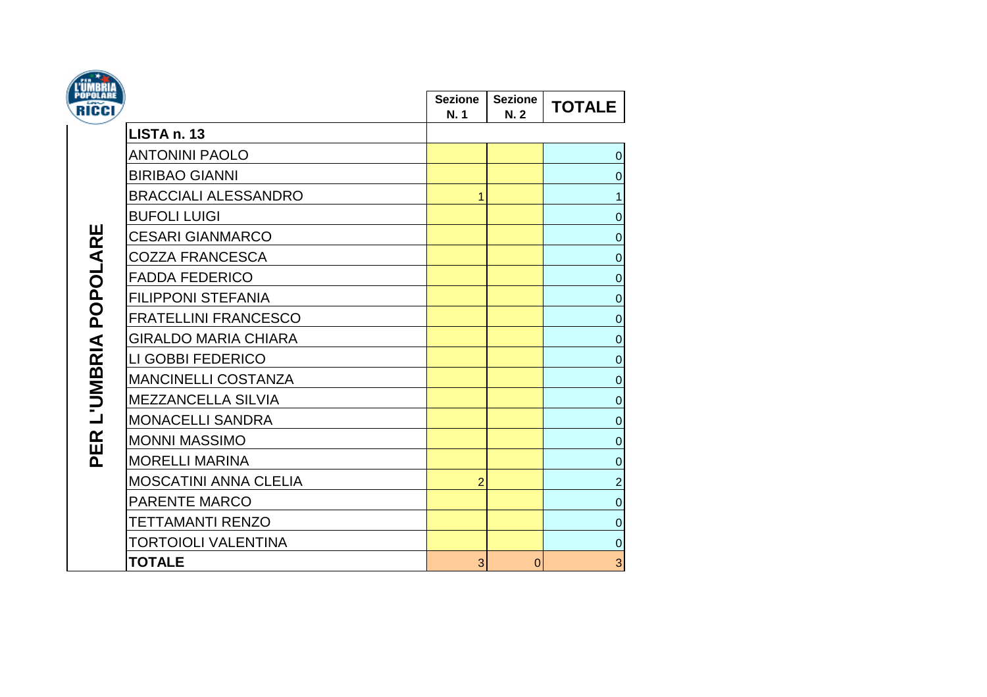| <b>L'ÜMBRIA</b><br>Popolari |                              |                        |                        |                  |
|-----------------------------|------------------------------|------------------------|------------------------|------------------|
| <b>RICCI</b>                |                              | <b>Sezione</b><br>N. 1 | <b>Sezione</b><br>N. 2 | <b>TOTALE</b>    |
|                             | LISTA n. 13                  |                        |                        |                  |
|                             | <b>ANTONINI PAOLO</b>        |                        |                        | $\pmb{0}$        |
|                             | <b>BIRIBAO GIANNI</b>        |                        |                        | $\pmb{0}$        |
|                             | <b>BRACCIALI ALESSANDRO</b>  |                        |                        | 1                |
|                             | <b>BUFOLI LUIGI</b>          |                        |                        | $\pmb{0}$        |
| <b>POPOLARE</b>             | <b>CESARI GIANMARCO</b>      |                        |                        | $\boldsymbol{0}$ |
|                             | <b>COZZA FRANCESCA</b>       |                        |                        | $\mathbf 0$      |
|                             | <b>FADDA FEDERICO</b>        |                        |                        | $\mathbf 0$      |
|                             | <b>FILIPPONI STEFANIA</b>    |                        |                        | $\pmb{0}$        |
|                             | <b>FRATELLINI FRANCESCO</b>  |                        |                        | $\mathbf 0$      |
|                             | GIRALDO MARIA CHIARA         |                        |                        | $\boldsymbol{0}$ |
|                             | LI GOBBI FEDERICO            |                        |                        | $\mathbf 0$      |
| L'UMBRIA                    | <b>MANCINELLI COSTANZA</b>   |                        |                        | $\mathbf 0$      |
|                             | <b>MEZZANCELLA SILVIA</b>    |                        |                        | $\boldsymbol{0}$ |
|                             | <b>MONACELLI SANDRA</b>      |                        |                        | $\overline{0}$   |
| PER                         | <b>MONNI MASSIMO</b>         |                        |                        | $\bf 0$          |
|                             | <b>MORELLI MARINA</b>        |                        |                        | $\mathbf 0$      |
|                             | <b>MOSCATINI ANNA CLELIA</b> | $\overline{2}$         |                        | $\overline{2}$   |
|                             | PARENTE MARCO                |                        |                        | $\pmb{0}$        |
|                             | <b>TETTAMANTI RENZO</b>      |                        |                        | $\boldsymbol{0}$ |
|                             | <b>TORTOIOLI VALENTINA</b>   |                        |                        | $\mathbf 0$      |
|                             | <b>TOTALE</b>                | 3                      | $\Omega$               | $\sqrt{3}$       |

**Contractor**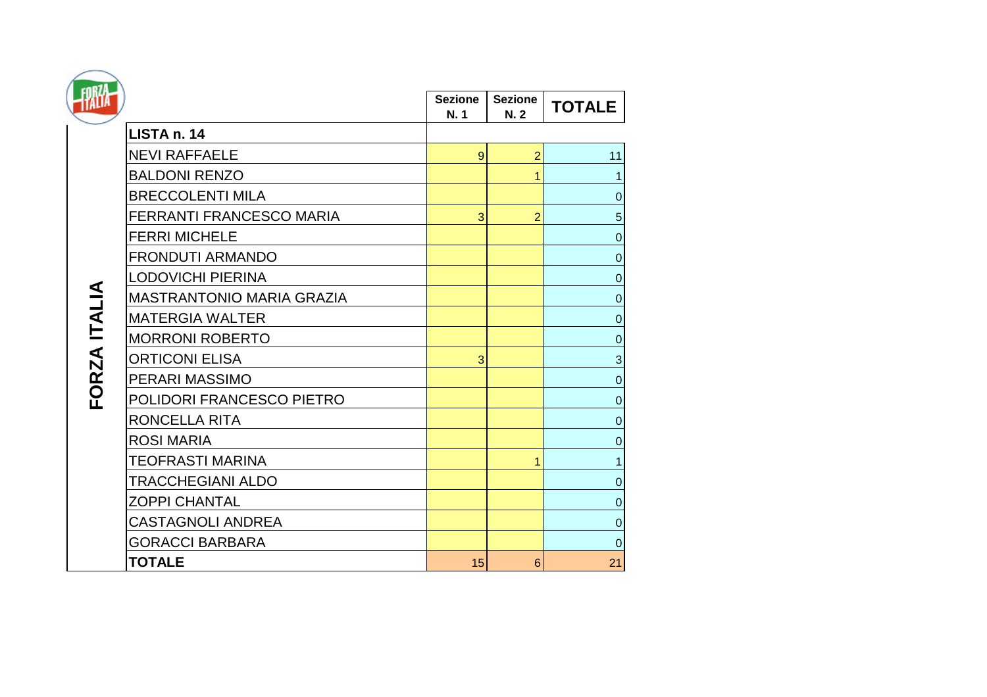| <b>FORZA</b> |                                  |                       |                       |                  |  |
|--------------|----------------------------------|-----------------------|-----------------------|------------------|--|
|              |                                  | <b>Sezione</b><br>N.1 | <b>Sezione</b><br>N.2 | <b>TOTALE</b>    |  |
|              | LISTA n. 14                      |                       |                       |                  |  |
|              | <b>NEVI RAFFAELE</b>             | $\boldsymbol{9}$      | $\overline{2}$        | 11               |  |
|              | <b>BALDONI RENZO</b>             |                       |                       |                  |  |
|              | <b>BRECCOLENTI MILA</b>          |                       |                       | $\mathbf 0$      |  |
|              | <b>FERRANTI FRANCESCO MARIA</b>  | 3                     | $\overline{2}$        | $\sqrt{5}$       |  |
|              | <b>FERRI MICHELE</b>             |                       |                       | $\boldsymbol{0}$ |  |
|              | <b>FRONDUTI ARMANDO</b>          |                       |                       | $\boldsymbol{0}$ |  |
|              | <b>LODOVICHI PIERINA</b>         |                       |                       | $\pmb{0}$        |  |
|              | <b>MASTRANTONIO MARIA GRAZIA</b> |                       |                       | $\boldsymbol{0}$ |  |
|              | <b>MATERGIA WALTER</b>           |                       |                       | $\pmb{0}$        |  |
|              | <b>MORRONI ROBERTO</b>           |                       |                       | $\pmb{0}$        |  |
| FORZA ITALIA | <b>ORTICONI ELISA</b>            | 3                     |                       | $\mathbf{3}$     |  |
|              | <b>PERARI MASSIMO</b>            |                       |                       | $\mathbf 0$      |  |
|              | POLIDORI FRANCESCO PIETRO        |                       |                       | $\boldsymbol{0}$ |  |
|              | <b>RONCELLA RITA</b>             |                       |                       | $\boldsymbol{0}$ |  |
|              | <b>ROSI MARIA</b>                |                       |                       | $\mathbf 0$      |  |
|              | <b>TEOFRASTI MARINA</b>          |                       |                       |                  |  |
|              | <b>TRACCHEGIANI ALDO</b>         |                       |                       | $\boldsymbol{0}$ |  |
|              | <b>ZOPPI CHANTAL</b>             |                       |                       | $\pmb{0}$        |  |
|              | <b>CASTAGNOLI ANDREA</b>         |                       |                       | $\pmb{0}$        |  |
|              | <b>GORACCI BARBARA</b>           |                       |                       | $\boldsymbol{0}$ |  |
|              | <b>TOTALE</b>                    | 15                    | $6\phantom{1}6$       | 21               |  |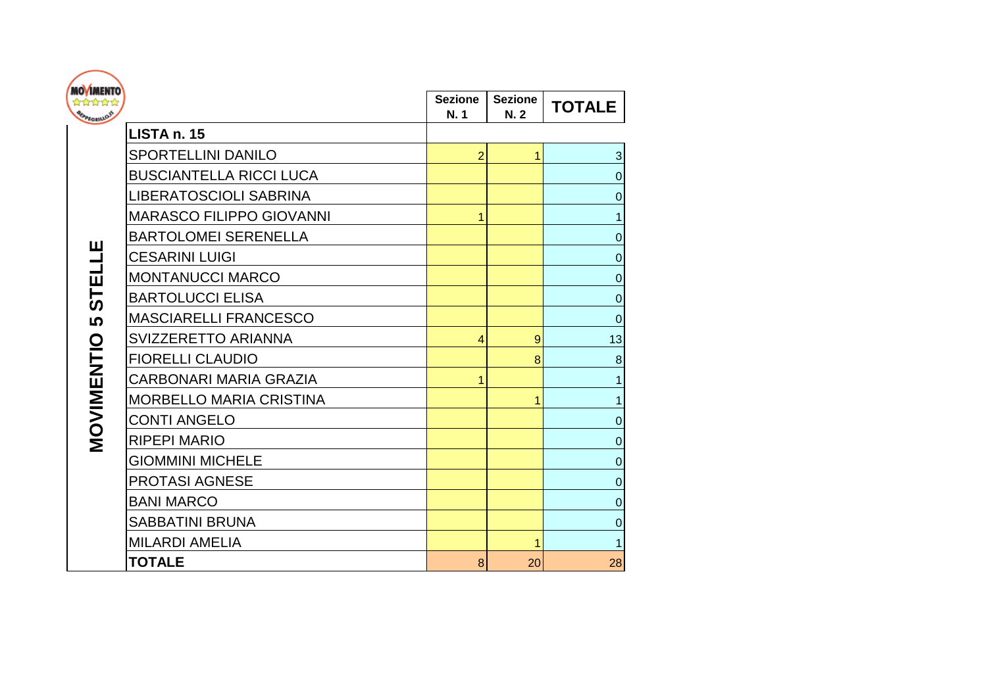| <b>MOVIMENTO</b> |                                 |                        |                       |                  |
|------------------|---------------------------------|------------------------|-----------------------|------------------|
| PPFGEILLO        |                                 | <b>Sezione</b><br>N. 1 | <b>Sezione</b><br>N.2 | <b>TOTALE</b>    |
|                  | LISTA n. 15                     |                        |                       |                  |
|                  | SPORTELLINI DANILO              | $\overline{2}$         |                       | $\mathbf{3}$     |
|                  | <b>BUSCIANTELLA RICCI LUCA</b>  |                        |                       | $\boldsymbol{0}$ |
|                  | LIBERATOSCIOLI SABRINA          |                        |                       | $\boldsymbol{0}$ |
|                  | <b>MARASCO FILIPPO GIOVANNI</b> | 1                      |                       |                  |
|                  | <b>BARTOLOMEI SERENELLA</b>     |                        |                       | $\boldsymbol{0}$ |
| щ                | <b>CESARINI LUIGI</b>           |                        |                       | 0                |
| <b>STELI</b>     | <b>MONTANUCCI MARCO</b>         |                        |                       | $\mathbf 0$      |
|                  | <b>BARTOLUCCI ELISA</b>         |                        |                       | $\boldsymbol{0}$ |
| <b>LC</b>        | <b>MASCIARELLI FRANCESCO</b>    |                        |                       | $\mathbf 0$      |
|                  | SVIZZERETTO ARIANNA             | 4                      | 9                     | 13               |
| <b>MOVINENTO</b> | <b>FIORELLI CLAUDIO</b>         |                        | 8                     | $\bf 8$          |
|                  | CARBONARI MARIA GRAZIA          |                        |                       |                  |
|                  | <b>MORBELLO MARIA CRISTINA</b>  |                        | 1                     | 1                |
|                  | <b>CONTI ANGELO</b>             |                        |                       | $\mathbf 0$      |
|                  | <b>RIPEPI MARIO</b>             |                        |                       | $\boldsymbol{0}$ |
|                  | <b>GIOMMINI MICHELE</b>         |                        |                       | $\mathbf 0$      |
|                  | <b>PROTASI AGNESE</b>           |                        |                       | $\boldsymbol{0}$ |
|                  | <b>BANI MARCO</b>               |                        |                       | $\boldsymbol{0}$ |
|                  | <b>SABBATINI BRUNA</b>          |                        |                       | $\boldsymbol{0}$ |
|                  | <b>MILARDI AMELIA</b>           |                        |                       |                  |
|                  | <b>TOTALE</b>                   | 8                      | 20                    | 28               |